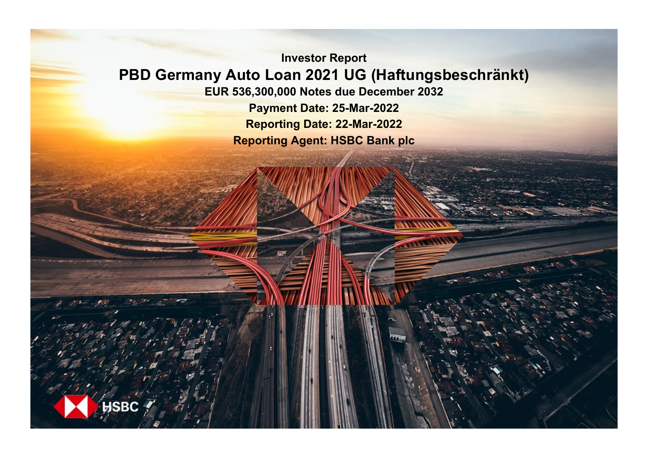**Investor Report PBD Germany Auto Loan 2021 UG (Haftungsbeschränkt) EUR 536,300,000 Notes due December 2032 Payment Date: 25-Mar-2022 Reporting Date: 22-Mar-2022**

**Reporting Agent: HSBC Bank plc**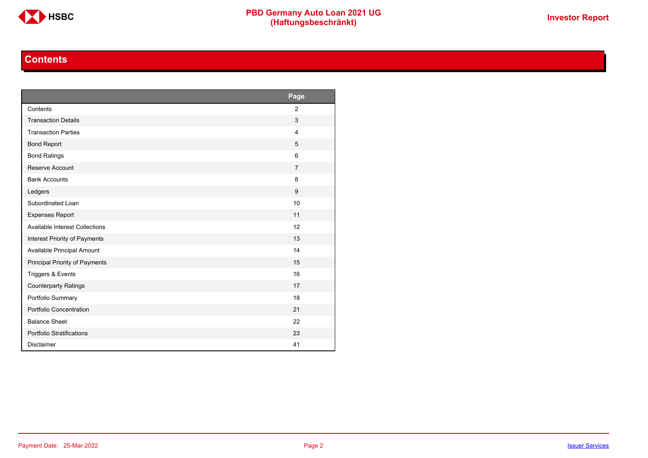

# **Contents**

<span id="page-1-0"></span>

|                                       | Page           |
|---------------------------------------|----------------|
| Contents                              | $\overline{2}$ |
| <b>Transaction Details</b>            | 3              |
| <b>Transaction Parties</b>            | $\overline{4}$ |
| <b>Bond Report</b>                    | 5              |
| <b>Bond Ratings</b>                   | 6              |
| Reserve Account                       | $\overline{7}$ |
| <b>Bank Accounts</b>                  | 8              |
| Ledgers                               | 9              |
| Subordinated Loan                     | 10             |
| <b>Expenses Report</b>                | 11             |
| <b>Available Interest Collections</b> | 12             |
| Interest Priority of Payments         | 13             |
| Available Principal Amount            | 14             |
| Principal Priority of Payments        | 15             |
| Triggers & Events                     | 16             |
| <b>Counterparty Ratings</b>           | 17             |
| Portfolio Summary                     | 18             |
| Portfolio Concentration               | 21             |
| <b>Balance Sheet</b>                  | 22             |
| Portfolio Stratifications             | 23             |
| <b>Disclaimer</b>                     | 41             |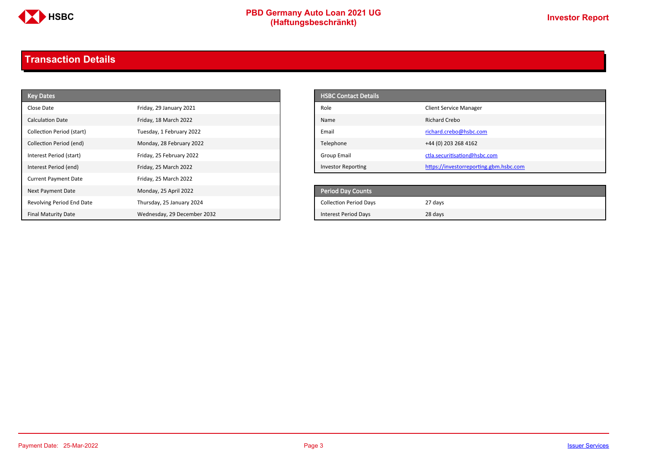

# **PBD Germany Auto Loan 2021 UG**<br>
(Haftungsbeschränkt)<br>
This area of the CHSD CHA (Haftungsbeschränkt)

# <span id="page-2-0"></span>**Transaction Details**

| <b>Key Dates</b>            |                             | <b>HSBC Contact Details</b>   |                                        |
|-----------------------------|-----------------------------|-------------------------------|----------------------------------------|
| Close Date                  | Friday, 29 January 2021     | Role                          | <b>Client Service Manager</b>          |
| <b>Calculation Date</b>     | Friday, 18 March 2022       | Name                          | <b>Richard Crebo</b>                   |
| Collection Period (start)   | Tuesday, 1 February 2022    | Email                         | richard.crebo@hsbc.com                 |
| Collection Period (end)     | Monday, 28 February 2022    | Telephone                     | +44 (0) 203 268 4162                   |
| Interest Period (start)     | Friday, 25 February 2022    | <b>Group Email</b>            | ctla.securitisation@hsbc.com           |
| Interest Period (end)       | Friday, 25 March 2022       | <b>Investor Reporting</b>     | https://investorreporting.gbm.hsbc.com |
| <b>Current Payment Date</b> | Friday, 25 March 2022       |                               |                                        |
| Next Payment Date           | Monday, 25 April 2022       | <b>Period Day Counts</b>      |                                        |
| Revolving Period End Date   | Thursday, 25 January 2024   | <b>Collection Period Days</b> | 27 days                                |
| <b>Final Maturity Date</b>  | Wednesday, 29 December 2032 | <b>Interest Period Days</b>   | 28 days                                |

| <b>HSBC Contact Details</b> |                                        |
|-----------------------------|----------------------------------------|
| Role                        | <b>Client Service Manager</b>          |
| Name                        | Richard Crebo                          |
| Email                       | richard.crebo@hsbc.com                 |
| Telephone                   | +44 (0) 203 268 4162                   |
| Group Email                 | ctla.securitisation@hsbc.com           |
| <b>Investor Reporting</b>   | https://investorreporting.gbm.hsbc.com |

| <b>Period Day Counts</b>      |         |
|-------------------------------|---------|
| <b>Collection Period Days</b> | 27 days |
| <b>Interest Period Days</b>   | 28 days |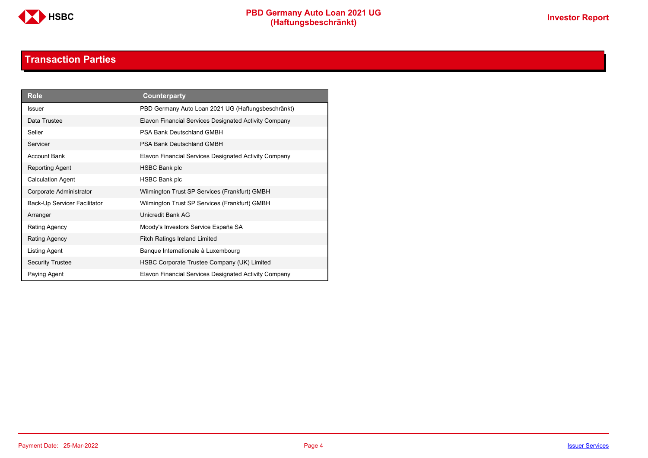

# **Transaction Parties**

<span id="page-3-0"></span>

| <b>Role</b>                  | <b>Counterparty</b>                                   |
|------------------------------|-------------------------------------------------------|
| <b>Issuer</b>                | PBD Germany Auto Loan 2021 UG (Haftungsbeschränkt)    |
| Data Trustee                 | Elavon Financial Services Designated Activity Company |
| Seller                       | PSA Bank Deutschland GMBH                             |
| Servicer                     | PSA Bank Deutschland GMBH                             |
| <b>Account Bank</b>          | Elavon Financial Services Designated Activity Company |
| Reporting Agent              | <b>HSBC Bank plc</b>                                  |
| <b>Calculation Agent</b>     | <b>HSBC Bank plc</b>                                  |
| Corporate Administrator      | Wilmington Trust SP Services (Frankfurt) GMBH         |
| Back-Up Servicer Facilitator | Wilmington Trust SP Services (Frankfurt) GMBH         |
| Arranger                     | Unicredit Bank AG                                     |
| Rating Agency                | Moody's Investors Service España SA                   |
| Rating Agency                | <b>Fitch Ratings Ireland Limited</b>                  |
| Listing Agent                | Banque Internationale à Luxembourg                    |
| <b>Security Trustee</b>      | HSBC Corporate Trustee Company (UK) Limited           |
| Paying Agent                 | Elavon Financial Services Designated Activity Company |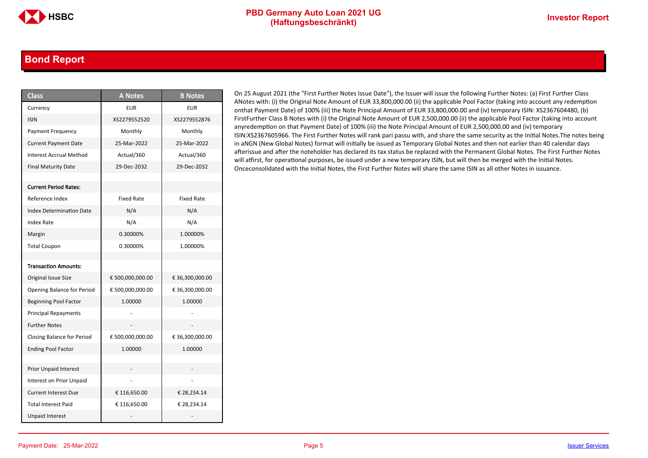### <span id="page-4-0"></span>**Bond Report**

| <b>Class</b>                      | <b>A Notes</b>    | <b>B</b> Notes    |
|-----------------------------------|-------------------|-------------------|
| Currency                          | <b>EUR</b>        | <b>EUR</b>        |
| <b>ISIN</b>                       | XS2279552520      | XS2279552876      |
| Payment Frequency                 | Monthly           | Monthly           |
| <b>Current Payment Date</b>       | 25-Mar-2022       | 25-Mar-2022       |
| <b>Interest Accrual Method</b>    | Actual/360        | Actual/360        |
| <b>Final Maturity Date</b>        | 29-Dec-2032       | 29-Dec-2032       |
|                                   |                   |                   |
| <b>Current Period Rates:</b>      |                   |                   |
| Reference Index                   | <b>Fixed Rate</b> | <b>Fixed Rate</b> |
| <b>Index Determination Date</b>   | N/A               | N/A               |
| Index Rate                        | N/A               | N/A               |
| Margin                            | 0.30000%          | 1.00000%          |
| <b>Total Coupon</b>               | 0.30000%          | 1.00000%          |
|                                   |                   |                   |
| <b>Transaction Amounts:</b>       |                   |                   |
| Original Issue Size               | € 500,000,000.00  | € 36,300,000.00   |
| Opening Balance for Period        | € 500,000,000.00  | € 36,300,000.00   |
| <b>Beginning Pool Factor</b>      | 1.00000           | 1.00000           |
| <b>Principal Repayments</b>       |                   |                   |
| <b>Further Notes</b>              |                   |                   |
| <b>Closing Balance for Period</b> | € 500,000,000.00  | € 36,300,000.00   |
| <b>Ending Pool Factor</b>         | 1.00000           | 1.00000           |
|                                   |                   |                   |
| <b>Prior Unpaid Interest</b>      |                   |                   |
| Interest on Prior Unpaid          |                   |                   |
| <b>Current Interest Due</b>       | € 116,650.00      | € 28,234.14       |
| <b>Total Interest Paid</b>        | € 116,650.00      | € 28,234.14       |
| <b>Unpaid Interest</b>            |                   |                   |

On 25 August 2021 (the "First Further Notes Issue Date"), the Issuer will issue the following Further Notes: (a) First Further Class ANotes with: (i) the Original Note Amount of EUR 33,800,000.00 (ii) the applicable Pool Factor (taking into account any redemption onthat Payment Date) of 100% (iii) the Note Principal Amount of EUR 33,800,000.00 and (iv) temporary ISIN: XS2367604480, (b) FirstFurther Class B Notes with (i) the Original Note Amount of EUR 2,500,000.00 (ii) the applicable Pool Factor (taking into account anyredemption on that Payment Date) of 100% (iii) the Note Principal Amount of EUR 2,500,000.00 and (iv) temporary ISIN:XS2367605966. The First Further Notes will rank pari passu with, and share the same security as the Initial Notes.The notes being in aNGN (New Global Notes) format will initially be issued as Temporary Global Notes and then not earlier than 40 calendar days afterissue and after the noteholder has declared its tax status be replaced with the Permanent Global Notes. The First Further Notes will atfirst, for operational purposes, be issued under a new temporary ISIN, but will then be merged with the Initial Notes. Onceconsolidated with the Initial Notes, the First Further Notes will share the same ISIN as all other Notes in issuance.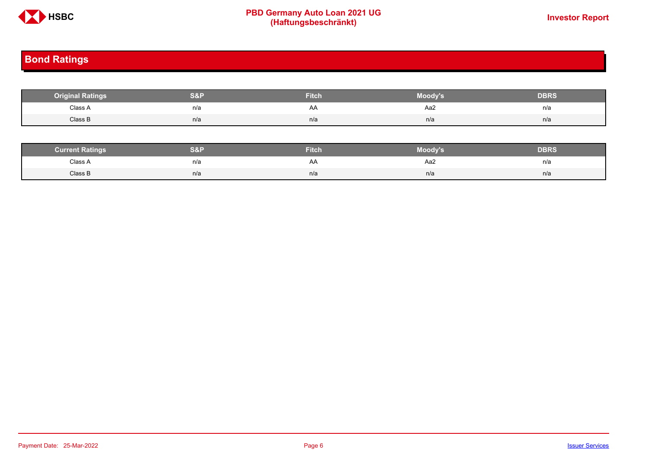

# **PBD Germany Auto Loan 2021 UG**<br>
(Haftungsbeschränkt)<br>
This area of the CHSD CHA (Haftungsbeschränkt)

# <span id="page-5-0"></span>**Bond Ratings**

| <b>Original Ratings</b> | S&F | <b>Fitch</b> | Moody's | <b>DBRS</b> |
|-------------------------|-----|--------------|---------|-------------|
| Class A<br>.            | n/a | AA           | Aa2     | n/a         |
| Class B                 | n/a | n/a          | n/a     | n/a         |

| <b><i>Surrent Ratings</i></b> | 0.91<br>>I≏∃i | <b>Fitch</b> | Moody's | DERS. |
|-------------------------------|---------------|--------------|---------|-------|
| Class A<br>.                  | n/a           | ₩            | Aa2     | n/a   |
| Class B                       | n/a           | n/a          | n/a     | n/a   |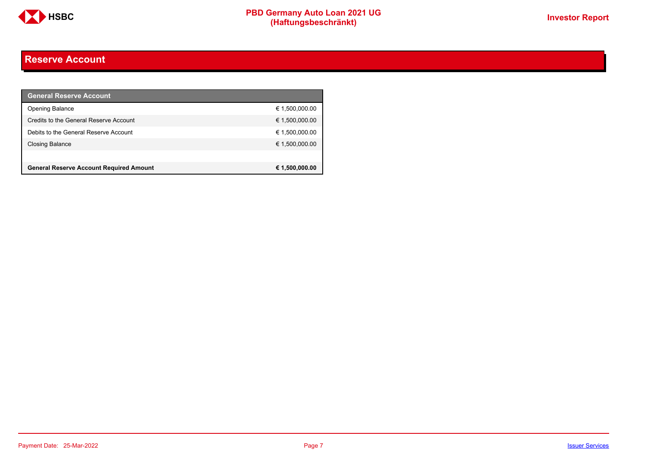

# <span id="page-6-0"></span>**Reserve Account**

| <b>General Reserve Account</b>                 |                |
|------------------------------------------------|----------------|
| <b>Opening Balance</b>                         | € 1,500,000.00 |
| Credits to the General Reserve Account         | € 1,500,000.00 |
| Debits to the General Reserve Account          | € 1,500,000.00 |
| <b>Closing Balance</b>                         | € 1,500,000.00 |
|                                                |                |
| <b>General Reserve Account Required Amount</b> | € 1,500,000.00 |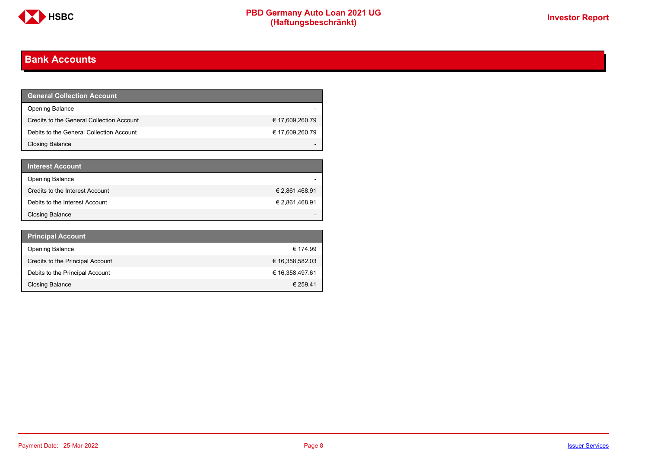

# <span id="page-7-0"></span>**Bank Accounts**

| <b>General Collection Account</b>         |                 |
|-------------------------------------------|-----------------|
| <b>Opening Balance</b>                    |                 |
| Credits to the General Collection Account | € 17,609,260.79 |
| Debits to the General Collection Account  | € 17,609,260.79 |
| <b>Closing Balance</b>                    |                 |

| <b>Interest Account</b>         |                |
|---------------------------------|----------------|
| <b>Opening Balance</b>          |                |
| Credits to the Interest Account | € 2,861,468.91 |
| Debits to the Interest Account  | € 2,861,468.91 |
| <b>Closing Balance</b>          |                |

| <b>Principal Account</b>         |                 |
|----------------------------------|-----------------|
| <b>Opening Balance</b>           | € 174.99        |
| Credits to the Principal Account | € 16,358,582.03 |
| Debits to the Principal Account  | € 16,358,497.61 |
| <b>Closing Balance</b>           | € 259.41        |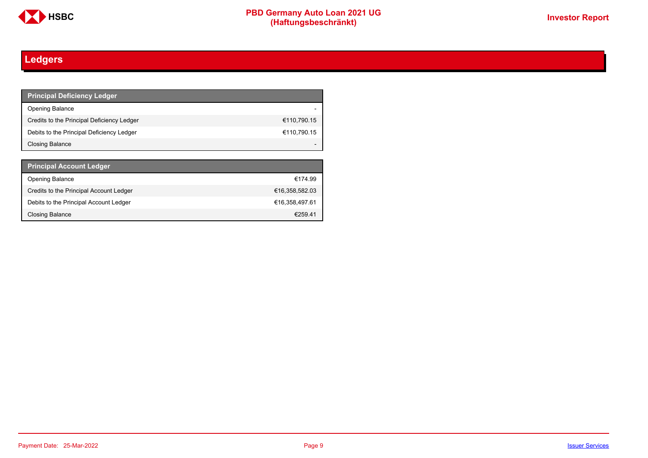

# <span id="page-8-0"></span>**Ledgers**

| <b>Principal Deficiency Ledger</b>         |             |
|--------------------------------------------|-------------|
| <b>Opening Balance</b>                     |             |
| Credits to the Principal Deficiency Ledger | €110,790.15 |
| Debits to the Principal Deficiency Ledger  | €110,790.15 |
| Closing Balance                            |             |

| <b>Principal Account Ledger</b>         |                |
|-----------------------------------------|----------------|
| <b>Opening Balance</b>                  | €174.99        |
| Credits to the Principal Account Ledger | €16,358,582.03 |
| Debits to the Principal Account Ledger  | €16.358.497.61 |
| Closing Balance                         | €259.41        |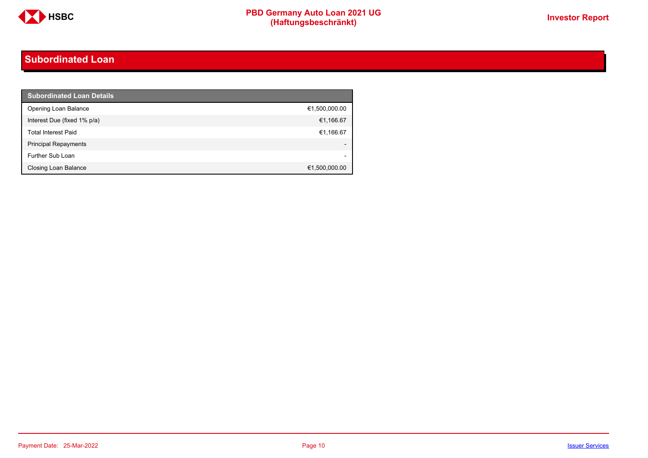

# <span id="page-9-0"></span>**Subordinated Loan**

| <b>Subordinated Loan Details</b> |               |
|----------------------------------|---------------|
| Opening Loan Balance             | €1,500,000.00 |
| Interest Due (fixed 1% p/a)      | €1,166.67     |
| <b>Total Interest Paid</b>       | €1,166.67     |
| <b>Principal Repayments</b>      |               |
| Further Sub Loan                 |               |
| Closing Loan Balance             | €1,500,000.00 |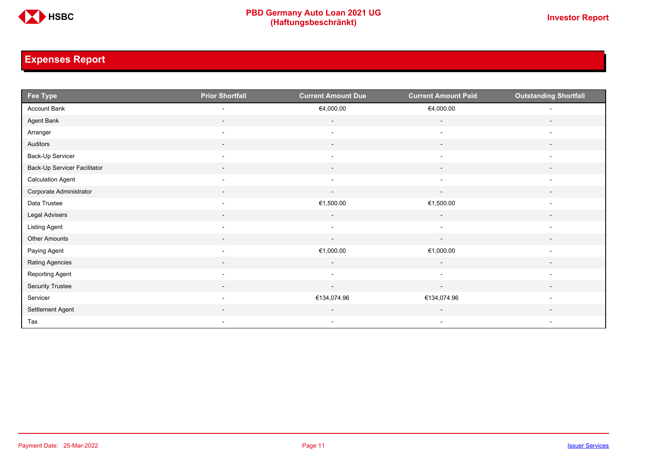

# <span id="page-10-0"></span>**Expenses Report**

| Fee Type                     | <b>Prior Shortfall</b>   | <b>Current Amount Due</b> | <b>Current Amount Paid</b> | <b>Outstanding Shortfall</b> |
|------------------------------|--------------------------|---------------------------|----------------------------|------------------------------|
| Account Bank                 | $\overline{\phantom{a}}$ | €4,000.00                 | €4,000.00                  | $\overline{\phantom{a}}$     |
| Agent Bank                   | $\overline{\phantom{a}}$ | $\overline{\phantom{a}}$  | $\overline{\phantom{a}}$   | $\overline{\phantom{a}}$     |
| Arranger                     | $\overline{\phantom{a}}$ | $\overline{\phantom{a}}$  | $\overline{\phantom{a}}$   | $\overline{\phantom{a}}$     |
| Auditors                     | $\overline{\phantom{a}}$ | $\sim$                    | $\overline{\phantom{a}}$   | $\overline{\phantom{a}}$     |
| Back-Up Servicer             | $\overline{\phantom{a}}$ | $\overline{\phantom{a}}$  | $\overline{\phantom{a}}$   | $\overline{\phantom{a}}$     |
| Back-Up Servicer Facilitator | $\overline{\phantom{a}}$ | $\overline{\phantom{a}}$  | $\overline{\phantom{a}}$   | $\overline{\phantom{a}}$     |
| <b>Calculation Agent</b>     | $\overline{\phantom{a}}$ | $\overline{\phantom{a}}$  | $\overline{\phantom{a}}$   | $\overline{\phantom{a}}$     |
| Corporate Administrator      | $\overline{\phantom{a}}$ | $\sim$                    | $\overline{\phantom{a}}$   | $\overline{\phantom{a}}$     |
| Data Trustee                 | $\overline{\phantom{a}}$ | €1,500.00                 | €1,500.00                  | $\overline{\phantom{a}}$     |
| Legal Advisers               | $\sim$                   | $\sim$                    | $\sim$                     | $\overline{\phantom{a}}$     |
| Listing Agent                | $\overline{\phantom{a}}$ | $\overline{\phantom{a}}$  | $\blacksquare$             | $\overline{\phantom{a}}$     |
| Other Amounts                | $\overline{\phantom{a}}$ | $\overline{\phantom{a}}$  | $\overline{\phantom{a}}$   |                              |
| Paying Agent                 | $\overline{\phantom{a}}$ | €1,000.00                 | €1,000.00                  | $\overline{\phantom{a}}$     |
| Rating Agencies              | $\overline{\phantom{a}}$ | $\sim$                    | $\sim$                     | $\overline{\phantom{a}}$     |
| Reporting Agent              | $\overline{\phantom{a}}$ | $\overline{\phantom{a}}$  | $\overline{\phantom{a}}$   | $\overline{\phantom{a}}$     |
| Security Trustee             | $\sim$                   | $\sim$                    | $\sim$                     | $\overline{\phantom{a}}$     |
| Servicer                     | $\overline{\phantom{a}}$ | €134,074.96               | €134,074.96                | $\overline{\phantom{a}}$     |
| Settlement Agent             |                          | $\overline{\phantom{a}}$  | $\overline{\phantom{a}}$   | $\overline{\phantom{0}}$     |
| Tax                          | $\sim$                   | $\sim$                    | $\sim$                     | $\overline{\phantom{a}}$     |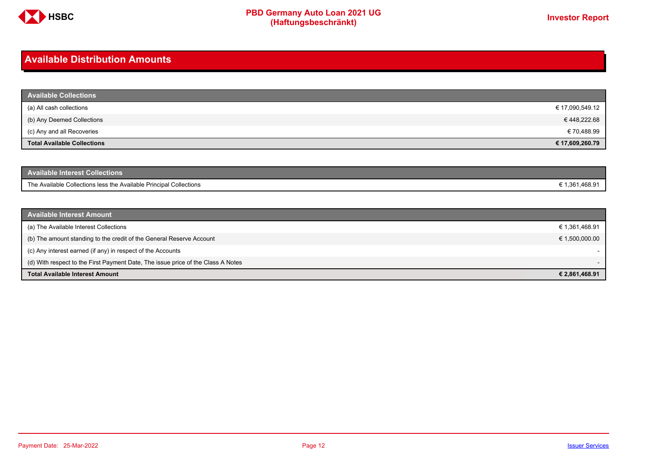

# <span id="page-11-0"></span>**Available Distribution Amounts**

| <b>Available Collections</b>       |                 |
|------------------------------------|-----------------|
| (a) All cash collections           | € 17,090,549.12 |
| (b) Any Deemed Collections         | € 448,222.68    |
| (c) Any and all Recoveries         | € 70,488.99     |
| <b>Total Available Collections</b> | € 17,609,260.79 |

| Available Interest Collections <b>\</b>                            |                |
|--------------------------------------------------------------------|----------------|
| The Available Collections less the Available Principal Collections | € 1,361,468.91 |

| <b>Available Interest Amount</b>                                                 |                |
|----------------------------------------------------------------------------------|----------------|
| (a) The Available Interest Collections                                           | € 1,361,468.91 |
| (b) The amount standing to the credit of the General Reserve Account             | € 1,500,000.00 |
| (c) Any interest earned (if any) in respect of the Accounts                      |                |
| (d) With respect to the First Payment Date, The issue price of the Class A Notes |                |
| <b>Total Available Interest Amount</b>                                           | € 2,861,468.91 |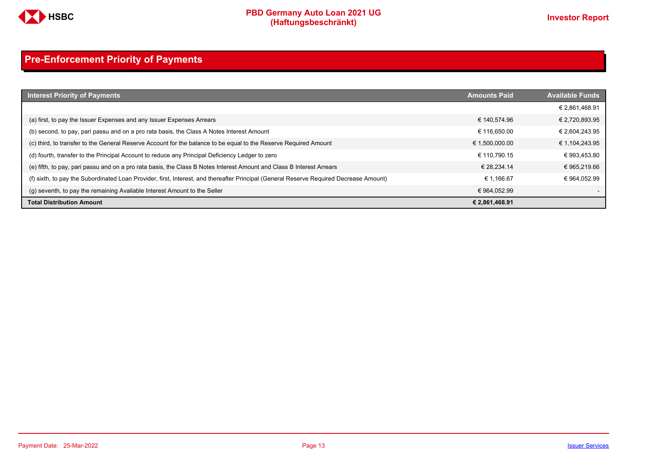

# <span id="page-12-0"></span>**Pre-Enforcement Priority of Payments**

| <b>Interest Priority of Payments</b>                                                                                                   | <b>Amounts Paid</b> | <b>Available Funds</b> |
|----------------------------------------------------------------------------------------------------------------------------------------|---------------------|------------------------|
|                                                                                                                                        |                     | € 2,861,468.91         |
| (a) first, to pay the Issuer Expenses and any Issuer Expenses Arrears                                                                  | € 140.574.96        | € 2,720,893.95         |
| (b) second, to pay, pari passu and on a pro rata basis, the Class A Notes Interest Amount                                              | € 116.650.00        | € 2,604,243.95         |
| (c) third, to transfer to the General Reserve Account for the balance to be equal to the Reserve Required Amount                       | € 1,500,000.00      | € 1,104,243.95         |
| (d) fourth, transfer to the Principal Account to reduce any Principal Deficiency Ledger to zero                                        | € 110.790.15        | € 993,453.80           |
| (e) fifth, to pay, pari passu and on a pro rata basis, the Class B Notes Interest Amount and Class B Interest Arrears                  | € 28.234.14         | € 965,219.66           |
| (f) sixth, to pay the Subordinated Loan Provider, first, Interest, and thereafter Principal (General Reserve Required Decrease Amount) | € 1.166.67          | € 964.052.99           |
| (q) seventh, to pay the remaining Available Interest Amount to the Seller                                                              | € 964.052.99        |                        |
| <b>Total Distribution Amount</b>                                                                                                       | € 2,861,468.91      |                        |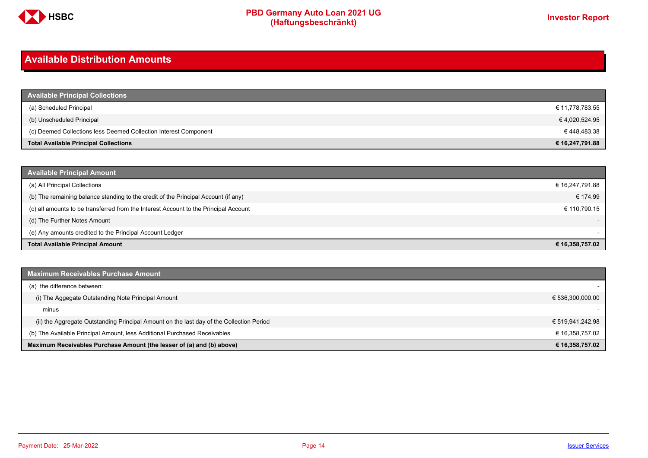

# <span id="page-13-0"></span>**Available Distribution Amounts**

| <b>Available Principal Collections</b>                           |                 |
|------------------------------------------------------------------|-----------------|
| (a) Scheduled Principal                                          | € 11,778,783.55 |
| (b) Unscheduled Principal                                        | € 4,020,524.95  |
| (c) Deemed Collections less Deemed Collection Interest Component | € 448,483.38    |
| <b>Total Available Principal Collections</b>                     | € 16,247,791.88 |

| <b>Available Principal Amount</b>                                                    |                          |
|--------------------------------------------------------------------------------------|--------------------------|
| (a) All Principal Collections                                                        | € 16,247,791.88          |
| (b) The remaining balance standing to the credit of the Principal Account (if any)   | € 174.99                 |
| (c) all amounts to be transferred from the Interest Account to the Principal Account | € 110,790.15             |
| (d) The Further Notes Amount                                                         | $\overline{\phantom{a}}$ |
| (e) Any amounts credited to the Principal Account Ledger                             |                          |
| <b>Total Available Principal Amount</b>                                              | € 16,358,757.02          |

| <b>Maximum Receivables Purchase Amount</b>                                               |                  |
|------------------------------------------------------------------------------------------|------------------|
| (a) the difference between:                                                              |                  |
| (i) The Aggegate Outstanding Note Principal Amount                                       | € 536,300,000.00 |
| minus                                                                                    |                  |
| (ii) the Aggregate Outstanding Principal Amount on the last day of the Collection Period | € 519,941,242.98 |
| (b) The Available Principal Amount, less Additional Purchased Receivables                | € 16,358,757.02  |
| Maximum Receivables Purchase Amount (the lesser of (a) and (b) above)                    | € 16,358,757.02  |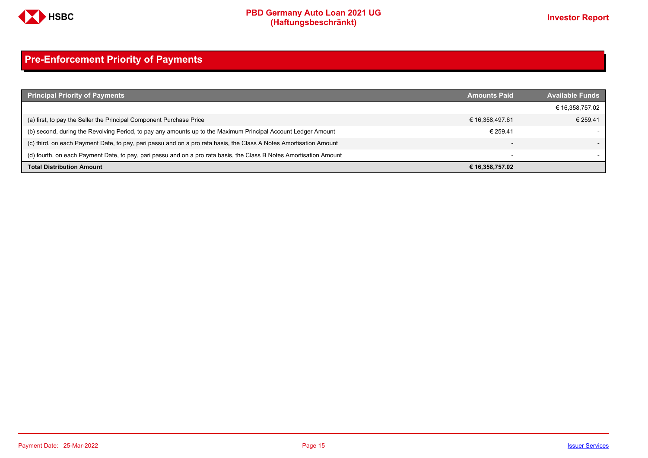

# <span id="page-14-0"></span>**Pre-Enforcement Priority of Payments**

| <b>Principal Priority of Payments</b>                                                                               | <b>Amounts Paid</b>      | <b>Available Funds</b> |
|---------------------------------------------------------------------------------------------------------------------|--------------------------|------------------------|
|                                                                                                                     |                          | € 16,358,757.02        |
| (a) first, to pay the Seller the Principal Component Purchase Price                                                 | € 16,358,497.61          | € 259.41               |
| (b) second, during the Revolving Period, to pay any amounts up to the Maximum Principal Account Ledger Amount       | € 259.41                 |                        |
| (c) third, on each Payment Date, to pay, pari passu and on a pro rata basis, the Class A Notes Amortisation Amount  | $\overline{\phantom{0}}$ |                        |
| (d) fourth, on each Payment Date, to pay, pari passu and on a pro rata basis, the Class B Notes Amortisation Amount | $\overline{\phantom{a}}$ |                        |
| <b>Total Distribution Amount</b>                                                                                    | € 16,358,757.02          |                        |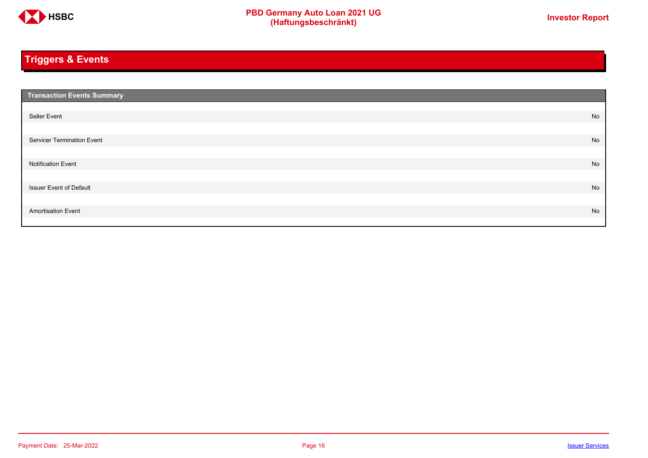

# <span id="page-15-0"></span>**Triggers & Events**

| <b>Transaction Events Summary</b> |    |
|-----------------------------------|----|
|                                   |    |
| Seller Event                      | No |
|                                   |    |
| Servicer Termination Event        | No |
|                                   |    |
| <b>Notification Event</b>         | No |
|                                   |    |
| <b>Issuer Event of Default</b>    | No |
|                                   |    |
| <b>Amortisation Event</b>         | No |
|                                   |    |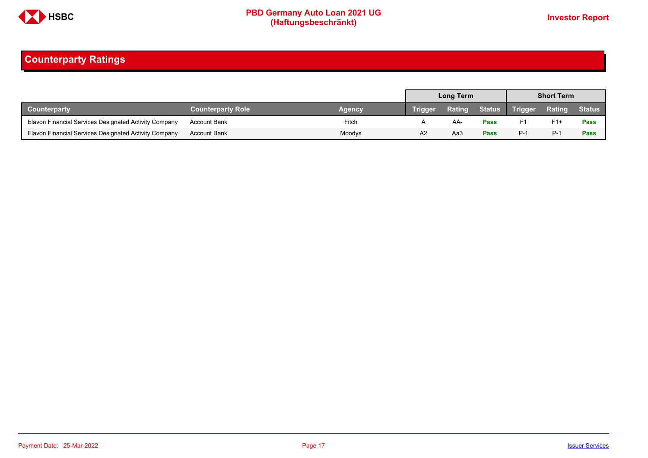

# <span id="page-16-0"></span>**Counterparty Ratings**

|                                                       |                          |        | <b>Long Term</b> |        |             | <b>Short Term</b> |               |               |
|-------------------------------------------------------|--------------------------|--------|------------------|--------|-------------|-------------------|---------------|---------------|
| Counterparty                                          | <b>Counterparty Role</b> | Agency | Trigger          | Rating |             | Status Trigger    | <b>Rating</b> | <b>Status</b> |
| Elavon Financial Services Designated Activity Company | <b>Account Bank</b>      | Fitch  |                  | AA-    | <b>Pass</b> | F1                | $F1+$         | Pass          |
| Elavon Financial Services Designated Activity Company | <b>Account Bank</b>      | Moodys | A2               | Aa3    | <b>Pass</b> | $P-1$             | $P-1$         | Pass          |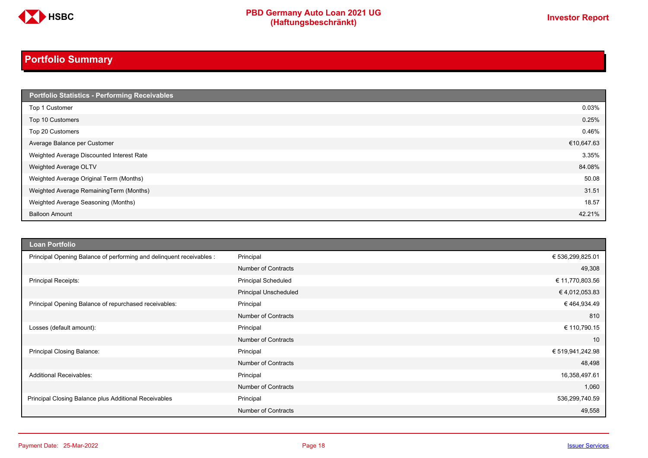

# **PBD Germany Auto Loan 2021 UG**<br>
(Haftungsbeschränkt)<br>
This area of the CHSD CHA (Haftungsbeschränkt)

# <span id="page-17-0"></span>**Portfolio Summary**

| Portfolio Statistics - Performing Receivables |            |
|-----------------------------------------------|------------|
| Top 1 Customer                                | 0.03%      |
| Top 10 Customers                              | 0.25%      |
| Top 20 Customers                              | 0.46%      |
| Average Balance per Customer                  | €10,647.63 |
| Weighted Average Discounted Interest Rate     | 3.35%      |
| Weighted Average OLTV                         | 84.08%     |
| Weighted Average Original Term (Months)       | 50.08      |
| Weighted Average RemainingTerm (Months)       | 31.51      |
| Weighted Average Seasoning (Months)           | 18.57      |
| <b>Balloon Amount</b>                         | 42.21%     |

| <b>Loan Portfolio</b>                                                |                              |                  |
|----------------------------------------------------------------------|------------------------------|------------------|
| Principal Opening Balance of performing and delinquent receivables : | Principal                    | € 536,299,825.01 |
|                                                                      | <b>Number of Contracts</b>   | 49,308           |
| <b>Principal Receipts:</b>                                           | <b>Principal Scheduled</b>   | € 11,770,803.56  |
|                                                                      | <b>Principal Unscheduled</b> | €4,012,053.83    |
| Principal Opening Balance of repurchased receivables:                | Principal                    | €464,934.49      |
|                                                                      | <b>Number of Contracts</b>   | 810              |
| Losses (default amount):                                             | Principal                    | € 110,790.15     |
|                                                                      | <b>Number of Contracts</b>   | 10               |
| Principal Closing Balance:                                           | Principal                    | € 519,941,242.98 |
|                                                                      | <b>Number of Contracts</b>   | 48,498           |
| <b>Additional Receivables:</b>                                       | Principal                    | 16,358,497.61    |
|                                                                      | <b>Number of Contracts</b>   | 1,060            |
| Principal Closing Balance plus Additional Receivables                | Principal                    | 536,299,740.59   |
|                                                                      | <b>Number of Contracts</b>   | 49,558           |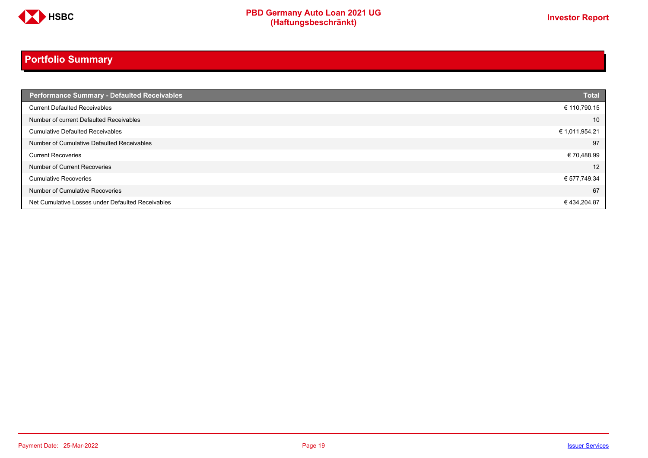

# **Portfolio Summary**

| <b>Performance Summary - Defaulted Receivables</b> | <b>Total</b>   |
|----------------------------------------------------|----------------|
| <b>Current Defaulted Receivables</b>               | € 110,790.15   |
| Number of current Defaulted Receivables            | 10             |
| <b>Cumulative Defaulted Receivables</b>            | € 1,011,954.21 |
| Number of Cumulative Defaulted Receivables         | 97             |
| <b>Current Recoveries</b>                          | €70,488.99     |
| Number of Current Recoveries                       | 12             |
| <b>Cumulative Recoveries</b>                       | € 577,749.34   |
| Number of Cumulative Recoveries                    | 67             |
| Net Cumulative Losses under Defaulted Receivables  | €434,204.87    |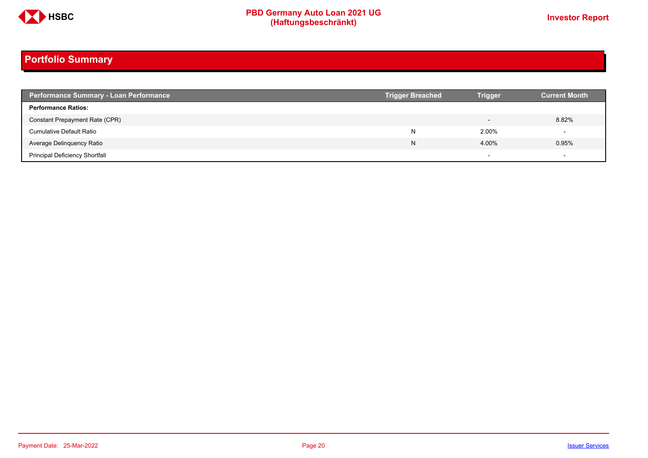

# **Portfolio Summary**

| <b>Performance Summary - Loan Performance</b> | <b>Trigger Breached</b> | <b>Trigger</b>           | <b>Current Month</b> |
|-----------------------------------------------|-------------------------|--------------------------|----------------------|
| <b>Performance Ratios:</b>                    |                         |                          |                      |
| Constant Prepayment Rate (CPR)                |                         | $\overline{\phantom{0}}$ | 8.82%                |
| <b>Cumulative Default Ratio</b>               | N                       | 2.00%                    |                      |
| Average Delinquency Ratio                     | N                       | 4.00%                    | 0.95%                |
| <b>Principal Deficiency Shortfall</b>         |                         | $\overline{\phantom{0}}$ |                      |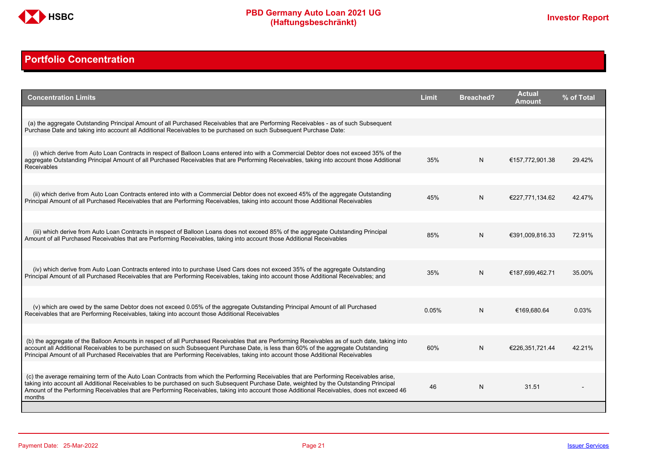

# <span id="page-20-0"></span>**Portfolio Concentration**

| <b>Concentration Limits</b>                                                                                                                                                                                                                                                                                                                                                                                                              | <b>Limit</b> | <b>Breached?</b> | <b>Actual</b><br>Amount | % of Total |
|------------------------------------------------------------------------------------------------------------------------------------------------------------------------------------------------------------------------------------------------------------------------------------------------------------------------------------------------------------------------------------------------------------------------------------------|--------------|------------------|-------------------------|------------|
| (a) the aggregate Outstanding Principal Amount of all Purchased Receivables that are Performing Receivables - as of such Subsequent<br>Purchase Date and taking into account all Additional Receivables to be purchased on such Subsequent Purchase Date:                                                                                                                                                                                |              |                  |                         |            |
| (i) which derive from Auto Loan Contracts in respect of Balloon Loans entered into with a Commercial Debtor does not exceed 35% of the<br>aggregate Outstanding Principal Amount of all Purchased Receivables that are Performing Receivables, taking into account those Additional                                                                                                                                                      | 35%          | N                | €157,772,901.38         | 29.42%     |
| <b>Receivables</b>                                                                                                                                                                                                                                                                                                                                                                                                                       |              |                  |                         |            |
| (ii) which derive from Auto Loan Contracts entered into with a Commercial Debtor does not exceed 45% of the aggregate Outstanding<br>Principal Amount of all Purchased Receivables that are Performing Receivables, taking into account those Additional Receivables                                                                                                                                                                     | 45%          | N                | €227,771,134.62         | 42.47%     |
| (iii) which derive from Auto Loan Contracts in respect of Balloon Loans does not exceed 85% of the aggregate Outstanding Principal<br>Amount of all Purchased Receivables that are Performing Receivables, taking into account those Additional Receivables                                                                                                                                                                              | 85%          | N                | €391,009,816.33         | 72.91%     |
|                                                                                                                                                                                                                                                                                                                                                                                                                                          |              |                  |                         |            |
| (iv) which derive from Auto Loan Contracts entered into to purchase Used Cars does not exceed 35% of the aggregate Outstanding<br>Principal Amount of all Purchased Receivables that are Performing Receivables, taking into account those Additional Receivables; and                                                                                                                                                                   | 35%          | N                | €187,699,462.71         | 35.00%     |
|                                                                                                                                                                                                                                                                                                                                                                                                                                          |              |                  |                         |            |
| (v) which are owed by the same Debtor does not exceed 0.05% of the aggregate Outstanding Principal Amount of all Purchased<br>Receivables that are Performing Receivables, taking into account those Additional Receivables                                                                                                                                                                                                              | 0.05%        | N                | €169.680.64             | 0.03%      |
|                                                                                                                                                                                                                                                                                                                                                                                                                                          |              |                  |                         |            |
| (b) the aggregate of the Balloon Amounts in respect of all Purchased Receivables that are Performing Receivables as of such date, taking into<br>account all Additional Receivables to be purchased on such Subsequent Purchase Date, is less than 60% of the aggregate Outstanding<br>Principal Amount of all Purchased Receivables that are Performing Receivables, taking into account those Additional Receivables                   | 60%          | N                | €226.351.721.44         | 42.21%     |
|                                                                                                                                                                                                                                                                                                                                                                                                                                          |              |                  |                         |            |
| (c) the average remaining term of the Auto Loan Contracts from which the Performing Receivables that are Performing Receivables arise.<br>taking into account all Additional Receivables to be purchased on such Subsequent Purchase Date, weighted by the Outstanding Principal<br>Amount of the Performing Receivables that are Performing Receivables, taking into account those Additional Receivables, does not exceed 46<br>months | 46           | N                | 31.51                   |            |
|                                                                                                                                                                                                                                                                                                                                                                                                                                          |              |                  |                         |            |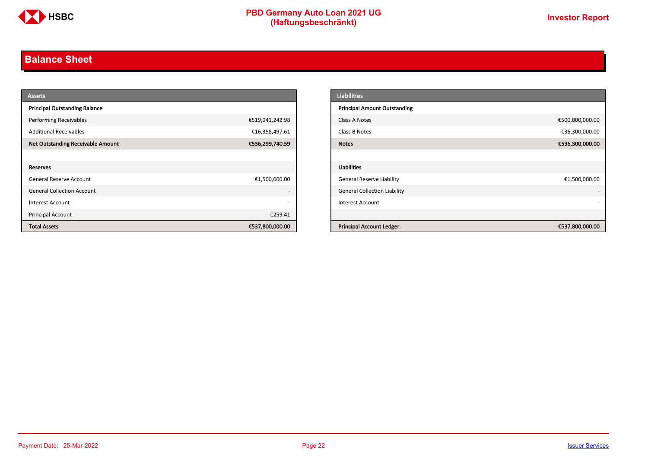

# <span id="page-21-0"></span>**Balance Sheet**

| <b>Assets</b>                            |                          | <b>Liabilities</b>                  |                 |
|------------------------------------------|--------------------------|-------------------------------------|-----------------|
| <b>Principal Outstanding Balance</b>     |                          | <b>Principal Amount Outstanding</b> |                 |
| <b>Performing Receivables</b>            | €519,941,242.98          | Class A Notes                       | €500,000,000.00 |
| <b>Additional Receivables</b>            | €16,358,497.61           | Class B Notes                       | €36,300,000.00  |
| <b>Net Outstanding Receivable Amount</b> | €536,299,740.59          | <b>Notes</b>                        | €536,300,000.00 |
|                                          |                          |                                     |                 |
| Reserves                                 |                          | Liabilities                         |                 |
| General Reserve Account                  | €1,500,000.00            | <b>General Reserve Liability</b>    | €1,500,000.00   |
| <b>General Collection Account</b>        | $\overline{\phantom{a}}$ | <b>General Collection Liability</b> |                 |
| Interest Account                         | $\overline{\phantom{a}}$ | Interest Account                    |                 |
| Principal Account                        | €259.41                  |                                     |                 |
| <b>Total Assets</b>                      | €537,800,000.00          | <b>Principal Account Ledger</b>     | €537,800,000.00 |

| <b>Liabilities</b>                  |                 |
|-------------------------------------|-----------------|
| <b>Principal Amount Outstanding</b> |                 |
| Class A Notes                       | €500,000,000.00 |
| Class B Notes                       | €36,300,000.00  |
| <b>Notes</b>                        | €536,300,000.00 |
|                                     |                 |
| <b>Liabilities</b>                  |                 |
| <b>General Reserve Liability</b>    | €1,500,000.00   |
| <b>General Collection Liability</b> | ٠               |
| <b>Interest Account</b>             |                 |
|                                     |                 |
| <b>Principal Account Ledger</b>     | €537,800,000.00 |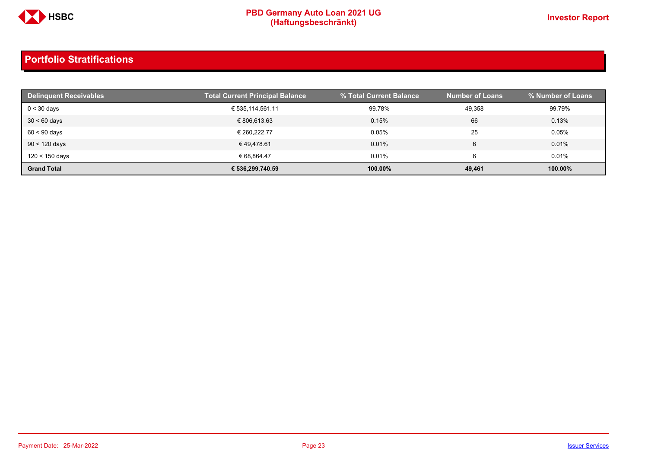

| <b>Delinquent Receivables</b> | <b>Total Current Principal Balance</b> | % Total Current Balance | <b>Number of Loans</b> | % Number of Loans |
|-------------------------------|----------------------------------------|-------------------------|------------------------|-------------------|
| $0 < 30$ days                 | € 535,114,561.11                       | 99.78%                  | 49,358                 | 99.79%            |
| $30 < 60$ days                | € 806.613.63                           | 0.15%                   | 66                     | 0.13%             |
| $60 < 90$ days                | € 260.222.77                           | 0.05%                   | 25                     | 0.05%             |
| $90 < 120$ days               | €49.478.61                             | 0.01%                   | 6                      | 0.01%             |
| 120 < 150 days                | € 68.864.47                            | 0.01%                   | 6                      | 0.01%             |
| <b>Grand Total</b>            | € 536.299.740.59                       | 100.00%                 | 49,461                 | 100.00%           |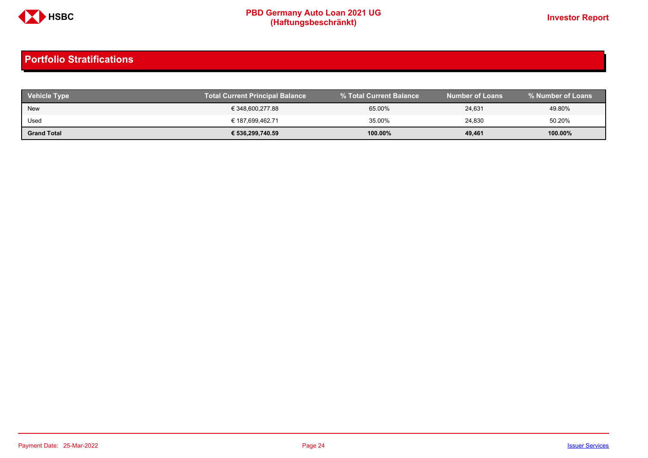

| <b>Vehicle Type</b> | Total Current Principal Balance | % Total Current Balance | <b>Number of Loans</b> | % Number of Loans |
|---------------------|---------------------------------|-------------------------|------------------------|-------------------|
| <b>New</b>          | € 348,600,277.88                | 65.00%                  | 24,631                 | 49.80%            |
| Used                | € 187,699,462.71                | 35.00%                  | 24,830                 | 50.20%            |
| <b>Grand Total</b>  | € 536,299,740.59                | $100.00\%$              | 49,461                 | 100.00%           |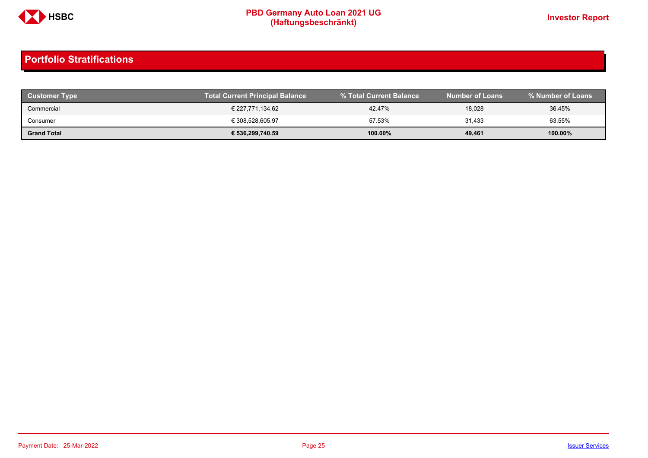

| Customer Type      | <b>Total Current Principal Balance</b> |         | <b>Number of Loans</b> | % Number of Loans |
|--------------------|----------------------------------------|---------|------------------------|-------------------|
| Commercial         | € 227,771,134.62                       | 42.47%  | 18,028                 | 36.45%            |
| Consumer           | € 308,528,605.97                       | 57.53%  | 31,433                 | 63.55%            |
| <b>Grand Total</b> | € 536,299,740.59                       | 100.00% | 49,461                 | 100.00%           |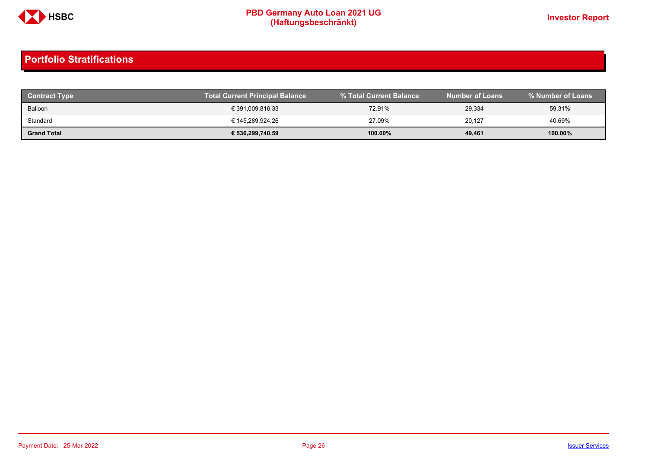

| <b>Contract Type</b> | <b>Total Current Principal Balance</b> |         | <b>Number of Loans</b> | % Number of Loans |
|----------------------|----------------------------------------|---------|------------------------|-------------------|
| Balloon              | € 391,009,816.33                       | 72.91%  | 29,334                 | 59.31%            |
| Standard             | € 145.289.924.26                       | 27.09%  | 20.127                 | 40.69%            |
| <b>Grand Total</b>   | € 536,299,740.59                       | 100.00% | 49,461                 | 100.00%           |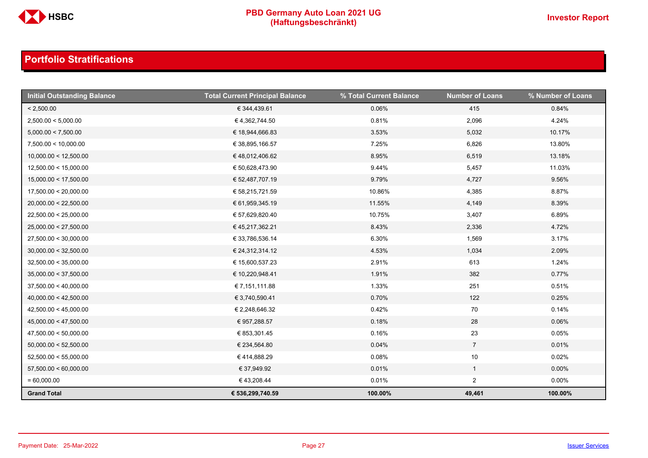

| <b>Initial Outstanding Balance</b> | <b>Total Current Principal Balance</b> | % Total Current Balance | <b>Number of Loans</b> | % Number of Loans |
|------------------------------------|----------------------------------------|-------------------------|------------------------|-------------------|
| < 2,500.00                         | € 344,439.61                           | 0.06%                   | 415                    | 0.84%             |
| 2,500.00 < 5,000.00                | €4,362,744.50                          | 0.81%                   | 2,096                  | 4.24%             |
| 5,000.00 < 7,500.00                | € 18,944,666.83                        | 3.53%                   | 5,032                  | 10.17%            |
| 7,500.00 < 10,000.00               | € 38,895,166.57                        | 7.25%                   | 6,826                  | 13.80%            |
| 10,000.00 < 12,500.00              | €48,012,406.62                         | 8.95%                   | 6,519                  | 13.18%            |
| 12,500.00 < 15,000.00              | € 50,628,473.90                        | 9.44%                   | 5,457                  | 11.03%            |
| 15,000.00 < 17,500.00              | € 52,487,707.19                        | 9.79%                   | 4,727                  | 9.56%             |
| 17,500.00 < 20,000.00              | € 58,215,721.59                        | 10.86%                  | 4,385                  | 8.87%             |
| 20,000.00 < 22,500.00              | € 61,959,345.19                        | 11.55%                  | 4,149                  | 8.39%             |
| 22,500.00 < 25,000.00              | € 57,629,820.40                        | 10.75%                  | 3,407                  | 6.89%             |
| 25,000.00 < 27,500.00              | € 45,217,362.21                        | 8.43%                   | 2,336                  | 4.72%             |
| 27,500.00 < 30,000.00              | € 33,786,536.14                        | 6.30%                   | 1,569                  | 3.17%             |
| 30,000.00 < 32,500.00              | € 24,312,314.12                        | 4.53%                   | 1,034                  | 2.09%             |
| 32,500.00 < 35,000.00              | € 15,600,537.23                        | 2.91%                   | 613                    | 1.24%             |
| 35,000.00 < 37,500.00              | € 10,220,948.41                        | 1.91%                   | 382                    | 0.77%             |
| 37,500.00 < 40,000.00              | € 7,151,111.88                         | 1.33%                   | 251                    | 0.51%             |
| 40,000.00 < 42,500.00              | € 3,740,590.41                         | 0.70%                   | 122                    | 0.25%             |
| 42,500.00 < 45,000.00              | € 2,248,646.32                         | 0.42%                   | 70                     | 0.14%             |
| 45,000.00 < 47,500.00              | € 957,288.57                           | 0.18%                   | 28                     | 0.06%             |
| 47,500.00 < 50,000.00              | € 853,301.45                           | 0.16%                   | 23                     | 0.05%             |
| 50,000.00 < 52,500.00              | € 234,564.80                           | 0.04%                   | $\overline{7}$         | 0.01%             |
| 52,500.00 < 55,000.00              | € 414,888.29                           | 0.08%                   | 10                     | 0.02%             |
| 57,500.00 < 60,000.00              | € 37,949.92                            | 0.01%                   | $\mathbf{1}$           | $0.00\%$          |
| $= 60,000.00$                      | € 43,208.44                            | 0.01%                   | $\overline{2}$         | $0.00\%$          |
| <b>Grand Total</b>                 | € 536,299,740.59                       | 100.00%                 | 49,461                 | 100.00%           |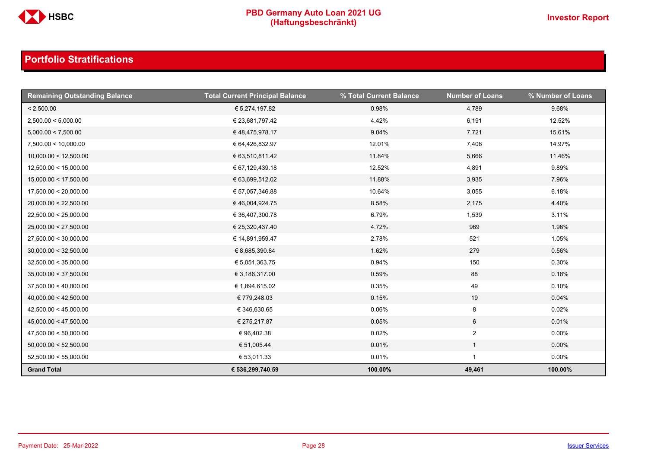

| <b>Remaining Outstanding Balance</b> | <b>Total Current Principal Balance</b> | % Total Current Balance | <b>Number of Loans</b> | % Number of Loans |
|--------------------------------------|----------------------------------------|-------------------------|------------------------|-------------------|
| < 2,500.00                           | € 5,274,197.82                         | 0.98%                   | 4,789                  | 9.68%             |
| 2,500.00 < 5,000.00                  | € 23,681,797.42                        | 4.42%                   | 6,191                  | 12.52%            |
| 5,000.00 < 7,500.00                  | € 48,475,978.17                        | 9.04%                   | 7,721                  | 15.61%            |
| 7,500.00 < 10,000.00                 | € 64,426,832.97                        | 12.01%                  | 7,406                  | 14.97%            |
| 10,000.00 < 12,500.00                | € 63,510,811.42                        | 11.84%                  | 5,666                  | 11.46%            |
| 12,500.00 < 15,000.00                | € 67,129,439.18                        | 12.52%                  | 4,891                  | 9.89%             |
| 15,000.00 < 17,500.00                | € 63,699,512.02                        | 11.88%                  | 3,935                  | 7.96%             |
| 17,500.00 < 20,000.00                | € 57,057,346.88                        | 10.64%                  | 3,055                  | 6.18%             |
| 20,000.00 < 22,500.00                | €46,004,924.75                         | 8.58%                   | 2,175                  | 4.40%             |
| 22,500.00 < 25,000.00                | € 36,407,300.78                        | 6.79%                   | 1,539                  | 3.11%             |
| 25,000.00 < 27,500.00                | € 25,320,437.40                        | 4.72%                   | 969                    | 1.96%             |
| 27,500.00 < 30,000.00                | € 14,891,959.47                        | 2.78%                   | 521                    | 1.05%             |
| 30,000.00 < 32,500.00                | € 8,685,390.84                         | 1.62%                   | 279                    | 0.56%             |
| 32,500.00 < 35,000.00                | € 5,051,363.75                         | 0.94%                   | 150                    | 0.30%             |
| 35,000.00 < 37,500.00                | € 3,186,317.00                         | 0.59%                   | 88                     | 0.18%             |
| 37,500.00 < 40,000.00                | € 1,894,615.02                         | 0.35%                   | 49                     | 0.10%             |
| 40,000.00 < 42,500.00                | € 779,248.03                           | 0.15%                   | 19                     | 0.04%             |
| 42,500.00 < 45,000.00                | € 346,630.65                           | 0.06%                   | 8                      | 0.02%             |
| 45,000.00 < 47,500.00                | € 275,217.87                           | 0.05%                   | 6                      | 0.01%             |
| 47,500.00 < 50,000.00                | €96,402.38                             | 0.02%                   | $\overline{2}$         | $0.00\%$          |
| 50,000.00 < 52,500.00                | € 51,005.44                            | 0.01%                   | $\mathbf{1}$           | $0.00\%$          |
| 52,500.00 < 55,000.00                | € 53,011.33                            | 0.01%                   |                        | $0.00\%$          |
| <b>Grand Total</b>                   | € 536,299,740.59                       | 100.00%                 | 49,461                 | 100.00%           |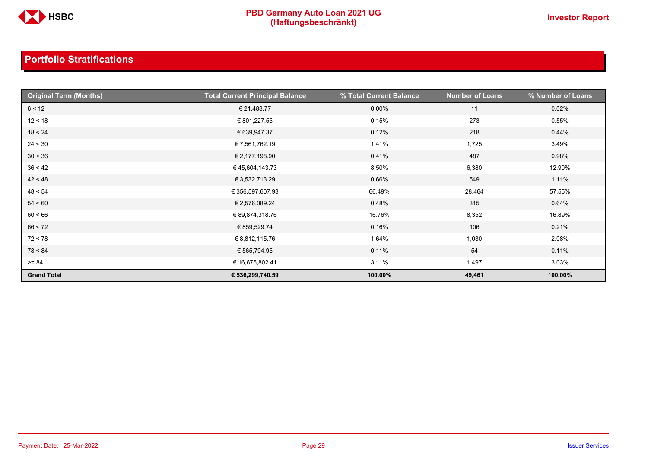

| <b>Original Term (Months)</b> | <b>Total Current Principal Balance</b> | % Total Current Balance | <b>Number of Loans</b> | % Number of Loans |
|-------------------------------|----------------------------------------|-------------------------|------------------------|-------------------|
| 6 < 12                        | € 21,488.77                            | $0.00\%$                | 11                     | 0.02%             |
| 12 < 18                       | € 801,227.55                           | 0.15%                   | 273                    | 0.55%             |
| 18 < 24                       | € 639,947.37                           | 0.12%                   | 218                    | 0.44%             |
| 24 < 30                       | € 7,561,762.19                         | 1.41%                   | 1,725                  | 3.49%             |
| 30 < 36                       | € 2,177,198.90                         | 0.41%                   | 487                    | 0.98%             |
| 36 < 42                       | €45,604,143.73                         | 8.50%                   | 6,380                  | 12.90%            |
| 42 < 48                       | € 3,532,713.29                         | 0.66%                   | 549                    | 1.11%             |
| 48 < 54                       | € 356,597,607.93                       | 66.49%                  | 28,464                 | 57.55%            |
| 54 < 60                       | € 2,576,089.24                         | 0.48%                   | 315                    | 0.64%             |
| 60 < 66                       | € 89,874,318.76                        | 16.76%                  | 8,352                  | 16.89%            |
| 66 < 72                       | € 859,529.74                           | 0.16%                   | 106                    | 0.21%             |
| 72 < 78                       | € 8,812,115.76                         | 1.64%                   | 1,030                  | 2.08%             |
| 78 < 84                       | € 565,794.95                           | 0.11%                   | 54                     | 0.11%             |
| $>= 84$                       | € 16,675,802.41                        | 3.11%                   | 1,497                  | 3.03%             |
| <b>Grand Total</b>            | € 536,299,740.59                       | 100.00%                 | 49,461                 | 100.00%           |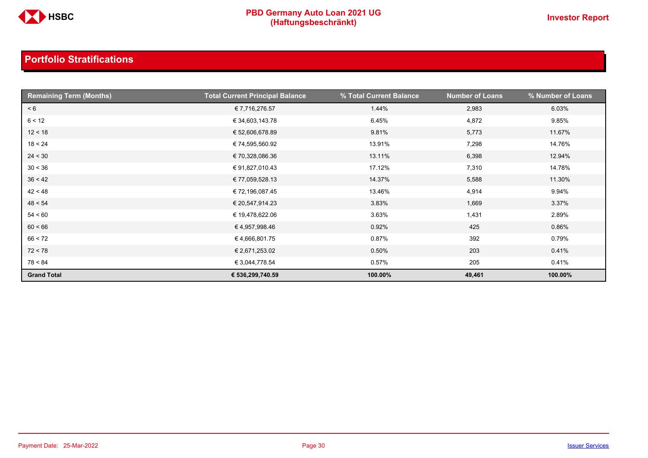

| <b>Remaining Term (Months)</b> | <b>Total Current Principal Balance</b> | % Total Current Balance | <b>Number of Loans</b> | % Number of Loans |
|--------------------------------|----------------------------------------|-------------------------|------------------------|-------------------|
| < 6                            | € 7,716,276.57                         | 1.44%                   | 2,983                  | 6.03%             |
| 6 < 12                         | € 34,603,143.78                        | 6.45%                   | 4,872                  | 9.85%             |
| 12 < 18                        | € 52,606,678.89                        | 9.81%                   | 5,773                  | 11.67%            |
| 18 < 24                        | € 74,595,560.92                        | 13.91%                  | 7,298                  | 14.76%            |
| 24 < 30                        | € 70,328,086.36                        | 13.11%                  | 6,398                  | 12.94%            |
| 30 < 36                        | €91,827,010.43                         | 17.12%                  | 7,310                  | 14.78%            |
| 36 < 42                        | € 77,059,528.13                        | 14.37%                  | 5,588                  | 11.30%            |
| 42 < 48                        | € 72,196,087.45                        | 13.46%                  | 4,914                  | 9.94%             |
| 48 < 54                        | € 20,547,914.23                        | 3.83%                   | 1,669                  | 3.37%             |
| 54 < 60                        | € 19,478,622.06                        | 3.63%                   | 1,431                  | 2.89%             |
| 60 < 66                        | €4,957,998.46                          | 0.92%                   | 425                    | 0.86%             |
| 66 < 72                        | €4,666,801.75                          | 0.87%                   | 392                    | 0.79%             |
| 72 < 78                        | € 2,671,253.02                         | 0.50%                   | 203                    | 0.41%             |
| 78 < 84                        | € 3,044,778.54                         | 0.57%                   | 205                    | 0.41%             |
| <b>Grand Total</b>             | € 536,299,740.59                       | 100.00%                 | 49,461                 | 100.00%           |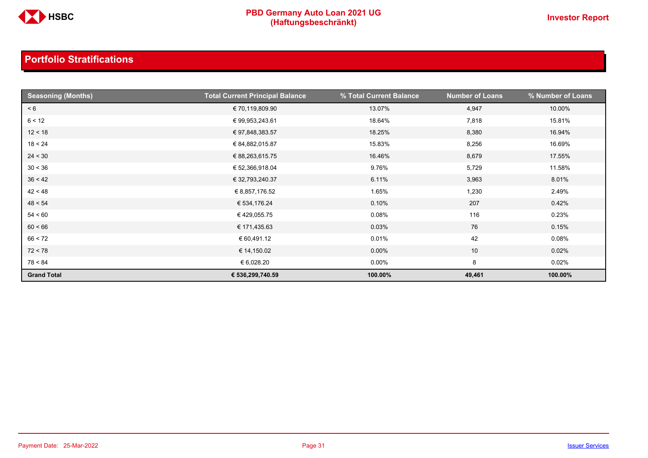

| <b>Seasoning (Months)</b> | <b>Total Current Principal Balance</b> | % Total Current Balance | <b>Number of Loans</b> | % Number of Loans |
|---------------------------|----------------------------------------|-------------------------|------------------------|-------------------|
| < 6                       | € 70,119,809.90                        | 13.07%                  | 4,947                  | 10.00%            |
| 6 < 12                    | € 99,953,243.61                        | 18.64%                  | 7,818                  | 15.81%            |
| 12 < 18                   | € 97,848,383.57                        | 18.25%                  | 8,380                  | 16.94%            |
| 18 < 24                   | € 84,882,015.87                        | 15.83%                  | 8,256                  | 16.69%            |
| 24 < 30                   | € 88,263,615.75                        | 16.46%                  | 8,679                  | 17.55%            |
| 30 < 36                   | € 52,366,918.04                        | 9.76%                   | 5,729                  | 11.58%            |
| 36 < 42                   | € 32,793,240.37                        | 6.11%                   | 3,963                  | 8.01%             |
| 42 < 48                   | € 8,857,176.52                         | 1.65%                   | 1,230                  | 2.49%             |
| 48 < 54                   | € 534,176.24                           | 0.10%                   | 207                    | 0.42%             |
| 54 < 60                   | €429,055.75                            | 0.08%                   | 116                    | 0.23%             |
| 60 < 66                   | € 171,435.63                           | 0.03%                   | 76                     | 0.15%             |
| 66 < 72                   | € 60,491.12                            | 0.01%                   | 42                     | 0.08%             |
| 72 < 78                   | € 14,150.02                            | 0.00%                   | 10                     | 0.02%             |
| 78 < 84                   | € 6,028.20                             | $0.00\%$                | 8                      | 0.02%             |
| <b>Grand Total</b>        | € 536,299,740.59                       | 100.00%                 | 49,461                 | 100.00%           |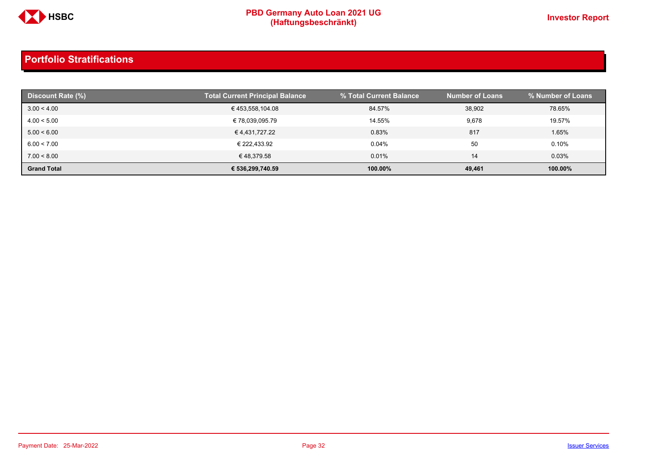

| Discount Rate (%)  | <b>Total Current Principal Balance</b> | % Total Current Balance | <b>Number of Loans</b> | % Number of Loans |
|--------------------|----------------------------------------|-------------------------|------------------------|-------------------|
| 3.00 < 4.00        | €453,558,104.08                        | 84.57%                  | 38,902                 | 78.65%            |
| 4.00 < 5.00        | € 78,039,095.79                        | 14.55%                  | 9,678                  | 19.57%            |
| 5.00 < 6.00        | € 4,431,727.22                         | 0.83%                   | 817                    | 1.65%             |
| 6.00 < 7.00        | € 222.433.92                           | 0.04%                   | 50                     | 0.10%             |
| 7.00 < 8.00        | €48,379.58                             | 0.01%                   | 14                     | 0.03%             |
| <b>Grand Total</b> | € 536,299,740.59                       | 100.00%                 | 49,461                 | 100.00%           |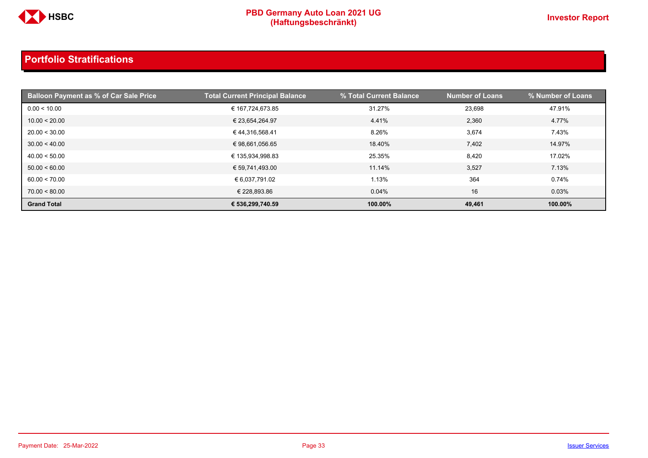

| <b>Balloon Payment as % of Car Sale Price</b> | <b>Total Current Principal Balance</b> | % Total Current Balance | <b>Number of Loans</b> | % Number of Loans |
|-----------------------------------------------|----------------------------------------|-------------------------|------------------------|-------------------|
| 0.00 < 10.00                                  | € 167,724,673.85                       | 31.27%                  | 23,698                 | 47.91%            |
| 10.00 < 20.00                                 | € 23,654,264.97                        | 4.41%                   | 2,360                  | 4.77%             |
| 20.00 < 30.00                                 | €44,316,568.41                         | 8.26%                   | 3,674                  | 7.43%             |
| 30.00 < 40.00                                 | € 98,661,056.65                        | 18.40%                  | 7,402                  | 14.97%            |
| 40.00 < 50.00                                 | € 135,934,998.83                       | 25.35%                  | 8,420                  | 17.02%            |
| 50.00 < 60.00                                 | € 59,741,493.00                        | 11.14%                  | 3,527                  | 7.13%             |
| 60.00 < 70.00                                 | € 6,037,791.02                         | 1.13%                   | 364                    | 0.74%             |
| 70.00 < 80.00                                 | € 228,893.86                           | 0.04%                   | 16                     | 0.03%             |
| <b>Grand Total</b>                            | € 536,299,740.59                       | 100.00%                 | 49,461                 | 100.00%           |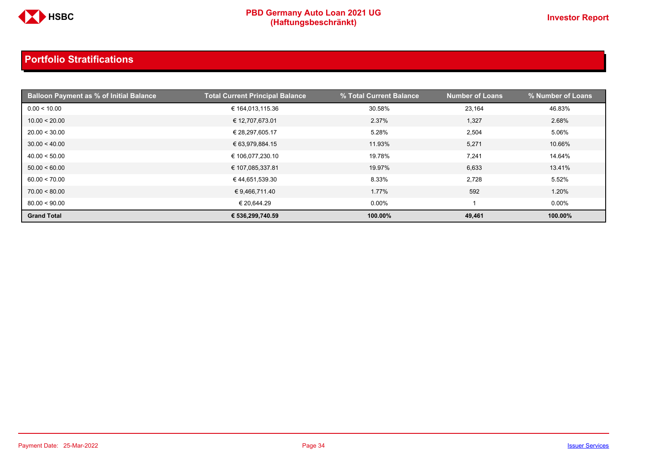

| <b>Balloon Payment as % of Initial Balance</b> | <b>Total Current Principal Balance</b> | % Total Current Balance | <b>Number of Loans</b> | % Number of Loans |
|------------------------------------------------|----------------------------------------|-------------------------|------------------------|-------------------|
| 0.00 < 10.00                                   | € 164,013,115.36                       | 30.58%                  | 23,164                 | 46.83%            |
| 10.00 < 20.00                                  | € 12,707,673.01                        | 2.37%                   | 1,327                  | 2.68%             |
| 20.00 < 30.00                                  | € 28,297,605.17                        | 5.28%                   | 2,504                  | 5.06%             |
| 30.00 < 40.00                                  | € 63,979,884.15                        | 11.93%                  | 5,271                  | 10.66%            |
| 40.00 < 50.00                                  | € 106,077,230.10                       | 19.78%                  | 7,241                  | 14.64%            |
| 50.00 < 60.00                                  | € 107,085,337.81                       | 19.97%                  | 6,633                  | 13.41%            |
| 60.00 < 70.00                                  | € 44,651,539.30                        | 8.33%                   | 2,728                  | 5.52%             |
| 70.00 < 80.00                                  | € 9,466,711.40                         | 1.77%                   | 592                    | 1.20%             |
| 80.00 < 90.00                                  | € 20,644.29                            | $0.00\%$                |                        | $0.00\%$          |
| <b>Grand Total</b>                             | € 536,299,740.59                       | 100.00%                 | 49,461                 | 100.00%           |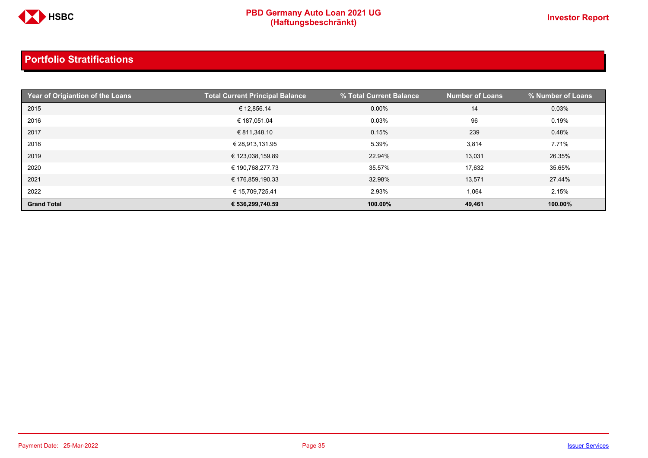

| Year of Origiantion of the Loans | <b>Total Current Principal Balance</b> | % Total Current Balance | <b>Number of Loans</b> | % Number of Loans |
|----------------------------------|----------------------------------------|-------------------------|------------------------|-------------------|
| 2015                             | € 12,856.14                            | $0.00\%$                | 14                     | 0.03%             |
| 2016                             | € 187,051.04                           | 0.03%                   | 96                     | 0.19%             |
| 2017                             | € 811,348.10                           | 0.15%                   | 239                    | 0.48%             |
| 2018                             | € 28,913,131.95                        | 5.39%                   | 3,814                  | 7.71%             |
| 2019                             | € 123,038,159.89                       | 22.94%                  | 13,031                 | 26.35%            |
| 2020                             | € 190,768,277.73                       | 35.57%                  | 17,632                 | 35.65%            |
| 2021                             | € 176,859,190.33                       | 32.98%                  | 13,571                 | 27.44%            |
| 2022                             | € 15,709,725.41                        | 2.93%                   | 1,064                  | 2.15%             |
| <b>Grand Total</b>               | € 536,299,740.59                       | 100.00%                 | 49,461                 | 100.00%           |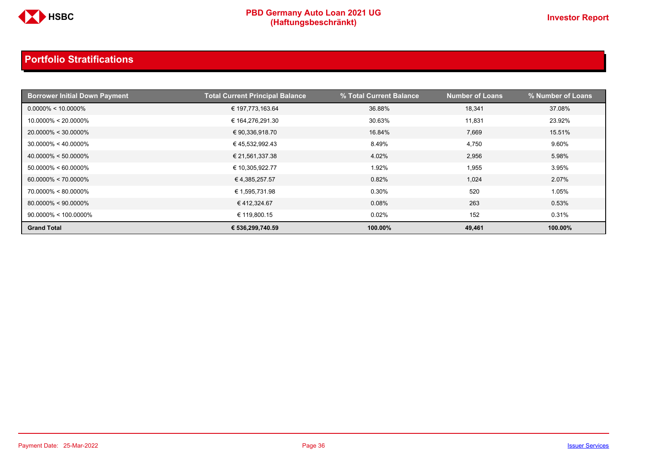

| <b>Borrower Initial Down Payment</b> | <b>Total Current Principal Balance</b> | % Total Current Balance | <b>Number of Loans</b> | % Number of Loans |
|--------------------------------------|----------------------------------------|-------------------------|------------------------|-------------------|
| $0.0000\% < 10.0000\%$               | € 197,773,163.64                       | 36.88%                  | 18.341                 | 37.08%            |
| $10.0000\% < 20.0000\%$              | € 164,276,291.30                       | 30.63%                  | 11,831                 | 23.92%            |
| $20.0000\% < 30.0000\%$              | € 90,336,918.70                        | 16.84%                  | 7,669                  | 15.51%            |
| $30.0000\% < 40.0000\%$              | €45,532,992.43                         | 8.49%                   | 4,750                  | 9.60%             |
| $40.0000\% < 50.0000\%$              | € 21,561,337.38                        | 4.02%                   | 2,956                  | 5.98%             |
| $50.0000\% < 60.0000\%$              | € 10,305,922.77                        | 1.92%                   | 1,955                  | 3.95%             |
| $60.0000\% < 70.0000\%$              | € 4,385,257.57                         | 0.82%                   | 1,024                  | 2.07%             |
| 70.0000% < 80.0000%                  | € 1,595,731.98                         | 0.30%                   | 520                    | 1.05%             |
| $80.0000\% < 90.0000\%$              | €412,324.67                            | 0.08%                   | 263                    | 0.53%             |
| $90.0000\% < 100.0000\%$             | € 119,800.15                           | 0.02%                   | 152                    | 0.31%             |
| <b>Grand Total</b>                   | € 536,299,740.59                       | 100.00%                 | 49,461                 | 100.00%           |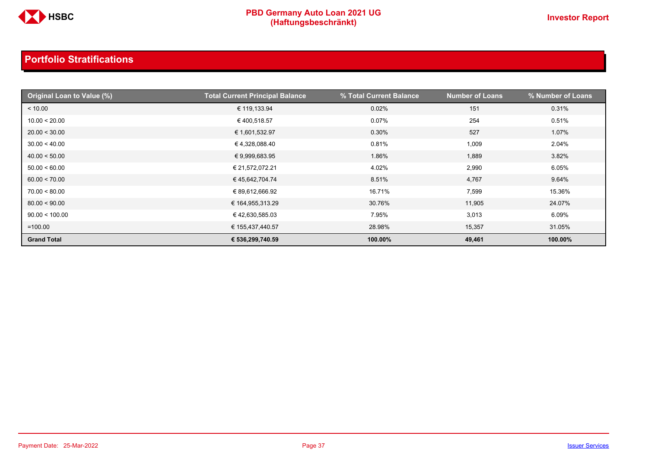

| Original Loan to Value (%) | <b>Total Current Principal Balance</b> | % Total Current Balance | <b>Number of Loans</b> | % Number of Loans |
|----------------------------|----------------------------------------|-------------------------|------------------------|-------------------|
| < 10.00                    | € 119,133.94                           | 0.02%                   | 151                    | 0.31%             |
| 10.00 < 20.00              | €400,518.57                            | 0.07%                   | 254                    | 0.51%             |
| 20.00 < 30.00              | € 1,601,532.97                         | 0.30%                   | 527                    | 1.07%             |
| 30.00 < 40.00              | € 4,328,088.40                         | 0.81%                   | 1,009                  | 2.04%             |
| 40.00 < 50.00              | € 9,999,683.95                         | 1.86%                   | 1,889                  | 3.82%             |
| 50.00 < 60.00              | € 21,572,072.21                        | 4.02%                   | 2,990                  | 6.05%             |
| 60.00 < 70.00              | €45,642,704.74                         | 8.51%                   | 4,767                  | 9.64%             |
| 70.00 < 80.00              | € 89,612,666.92                        | 16.71%                  | 7,599                  | 15.36%            |
| 80.00 < 90.00              | € 164,955,313.29                       | 30.76%                  | 11,905                 | 24.07%            |
| 90.00 < 100.00             | €42,630,585.03                         | 7.95%                   | 3,013                  | 6.09%             |
| $=100.00$                  | € 155,437,440.57                       | 28.98%                  | 15,357                 | 31.05%            |
| <b>Grand Total</b>         | € 536,299,740.59                       | 100.00%                 | 49,461                 | 100.00%           |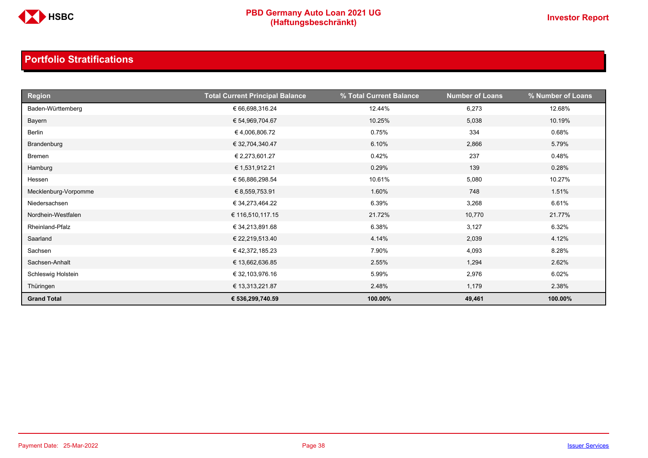

| <b>Region</b>        | <b>Total Current Principal Balance</b> | % Total Current Balance | <b>Number of Loans</b> | % Number of Loans |
|----------------------|----------------------------------------|-------------------------|------------------------|-------------------|
| Baden-Württemberg    | € 66,698,316.24                        | 12.44%                  | 6,273                  | 12.68%            |
| Bayern               | € 54,969,704.67                        | 10.25%                  | 5,038                  | 10.19%            |
| Berlin               | € 4,006,806.72                         | 0.75%                   | 334                    | 0.68%             |
| Brandenburg          | € 32,704,340.47                        | 6.10%                   | 2,866                  | 5.79%             |
| <b>Bremen</b>        | € 2,273,601.27                         | 0.42%                   | 237                    | 0.48%             |
| Hamburg              | € 1,531,912.21                         | 0.29%                   | 139                    | 0.28%             |
| Hessen               | € 56,886,298.54                        | 10.61%                  | 5,080                  | 10.27%            |
| Mecklenburg-Vorpomme | € 8,559,753.91                         | 1.60%                   | 748                    | 1.51%             |
| Niedersachsen        | € 34,273,464.22                        | 6.39%                   | 3,268                  | 6.61%             |
| Nordhein-Westfalen   | € 116,510,117.15                       | 21.72%                  | 10,770                 | 21.77%            |
| Rheinland-Pfalz      | € 34,213,891.68                        | 6.38%                   | 3,127                  | 6.32%             |
| Saarland             | € 22,219,513.40                        | 4.14%                   | 2,039                  | 4.12%             |
| Sachsen              | € 42,372,185.23                        | 7.90%                   | 4,093                  | 8.28%             |
| Sachsen-Anhalt       | € 13,662,636.85                        | 2.55%                   | 1,294                  | 2.62%             |
| Schleswig Holstein   | € 32,103,976.16                        | 5.99%                   | 2,976                  | 6.02%             |
| Thüringen            | € 13,313,221.87                        | 2.48%                   | 1,179                  | 2.38%             |
| <b>Grand Total</b>   | € 536,299,740.59                       | 100.00%                 | 49,461                 | 100.00%           |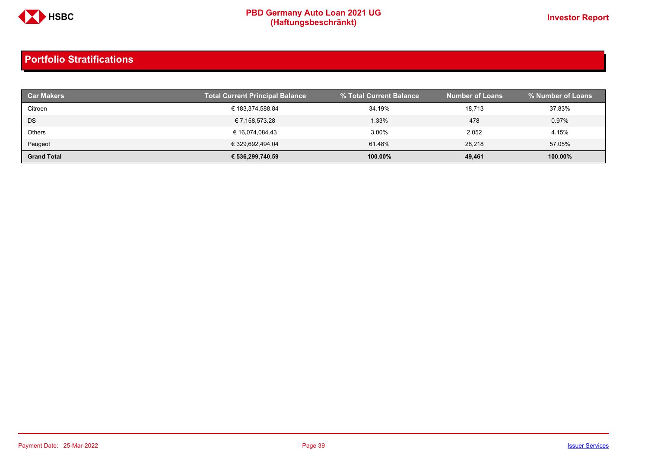

| <b>Car Makers</b>  | Total Current Principal Balance | % Total Current Balance | <b>Number of Loans</b> | │% Number of Loans . |
|--------------------|---------------------------------|-------------------------|------------------------|----------------------|
| Citroen            | € 183,374,588.84                | 34.19%                  | 18,713                 | 37.83%               |
| <b>DS</b>          | € 7,158,573.28                  | 1.33%                   | 478                    | 0.97%                |
| Others             | € 16,074,084.43                 | 3.00%                   | 2,052                  | 4.15%                |
| Peugeot            | € 329,692,494.04                | 61.48%                  | 28.218                 | 57.05%               |
| <b>Grand Total</b> | € 536,299,740.59                | 100.00%                 | 49,461                 | 100.00%              |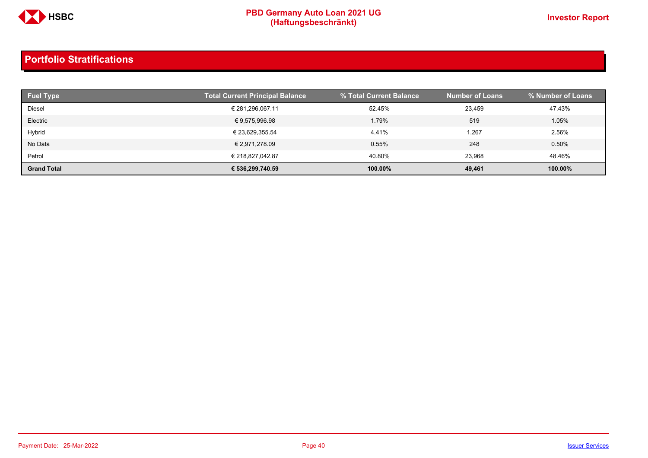

| <b>Fuel Type</b>   | <b>Total Current Principal Balance</b> | % Total Current Balance | <b>Number of Loans</b> | % Number of Loans |
|--------------------|----------------------------------------|-------------------------|------------------------|-------------------|
| Diesel             | € 281,296,067.11                       | 52.45%                  | 23.459                 | 47.43%            |
| Electric           | € 9,575,996.98                         | 1.79%                   | 519                    | 1.05%             |
| Hybrid             | € 23,629,355.54                        | 4.41%                   | 1,267                  | 2.56%             |
| No Data            | € 2,971,278.09                         | 0.55%                   | 248                    | 0.50%             |
| Petrol             | € 218.827.042.87                       | 40.80%                  | 23.968                 | 48.46%            |
| <b>Grand Total</b> | € 536,299,740.59                       | 100.00%                 | 49,461                 | 100.00%           |